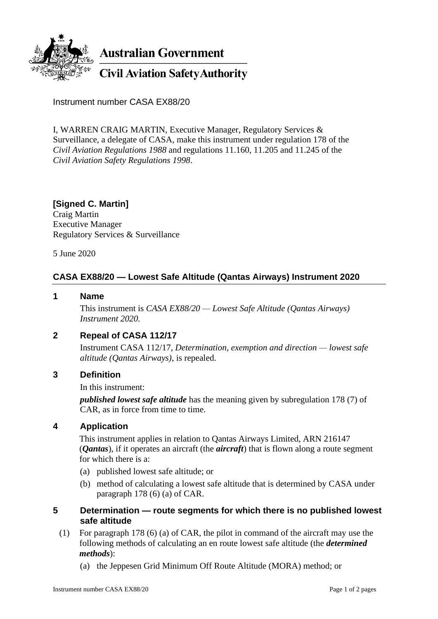

Instrument number CASA EX88/20

I, WARREN CRAIG MARTIN, Executive Manager, Regulatory Services & Surveillance, a delegate of CASA, make this instrument under regulation 178 of the *Civil Aviation Regulations 1988* and regulations 11.160, 11.205 and 11.245 of the *Civil Aviation Safety Regulations 1998*.

**[Signed C. Martin]** Craig Martin Executive Manager Regulatory Services & Surveillance

5 June 2020

# **CASA EX88/20 — Lowest Safe Altitude (Qantas Airways) Instrument 2020**

#### **1 Name**

This instrument is *CASA EX88/20 — Lowest Safe Altitude (Qantas Airways) Instrument 2020.*

## **2 Repeal of CASA 112/17**

Instrument CASA 112/17, *Determination, exemption and direction — lowest safe altitude (Qantas Airways)*, is repealed.

### **3 Definition**

In this instrument:

*published lowest safe altitude* has the meaning given by subregulation 178 (7) of CAR, as in force from time to time.

### **4 Application**

This instrument applies in relation to Qantas Airways Limited, ARN 216147 (*Qantas*), if it operates an aircraft (the *aircraft*) that is flown along a route segment for which there is a:

- (a) published lowest safe altitude; or
- (b) method of calculating a lowest safe altitude that is determined by CASA under paragraph 178 (6) (a) of CAR.
- **5 Determination — route segments for which there is no published lowest safe altitude**
	- (1) For paragraph 178 (6) (a) of CAR, the pilot in command of the aircraft may use the following methods of calculating an en route lowest safe altitude (the *determined methods*):
		- (a) the Jeppesen Grid Minimum Off Route Altitude (MORA) method; or